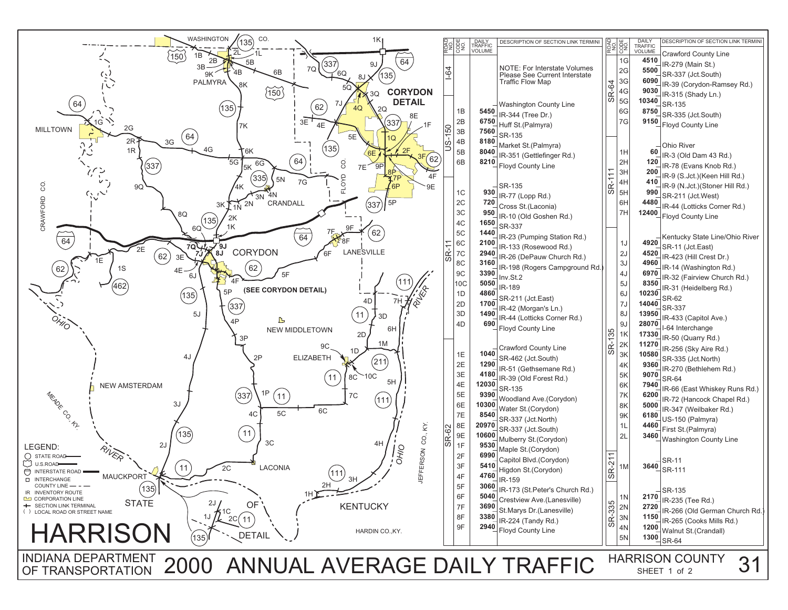